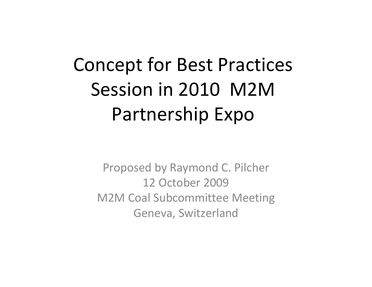# Concept for Best Practices Session in 2010 M2MPartnership Expo

Proposed by Raymond C. Pilcher 12 October 2009M2M Coal Subcommittee Meeting Geneva, Switzerland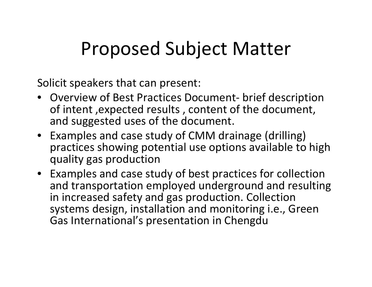## Proposed Subject Matter

Solicit speakers that can present:

- Overview of Best Practices Document- brief description of intent ,expected results , content of the document, and suggested uses of the document.
- Examples and case study of CMM drainage (drilling) practices showing potential use options available to high quality gas production
- Examples and case study of best practices for collection and transportation employed underground and resulting in increased safety and gas production. Collection systems design, installation and monitoring i.e., Green Gas International's presentation in Chengdu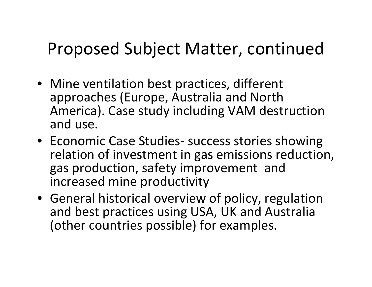### Proposed Subject Matter, continued

- Mine ventilation best practices, different approaches (Europe, Australia and North America). Case study including VAM destruction and use.
- Economic Case Studies- success stories showing relation of investment in gas emissions reduction, gas production, safety improvement and increased mine productivity
- General historical overview of policy, regulation and best practices using USA, UK and Australia (other countries possible) for examples.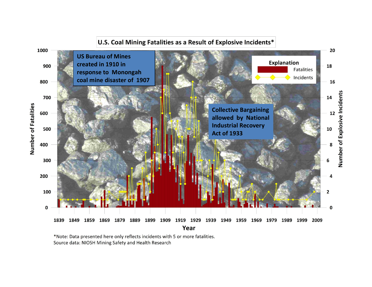

\*Note: Data presented here only reflects incidents with 5 or more fatalities. Source data: NIOSH Mining Safety and Health Research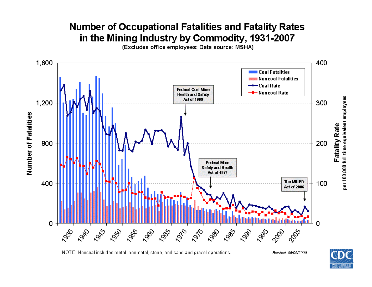### **Number of Occupational Fatalities and Fatality Rates** in the Mining Industry by Commodity, 1931-2007

(Excludes office employees; Data source: MSHA)



NOTE: Noncoal includes metal, nonmetal, stone, and sand and gravel operations.

Revised: 09/09/2009